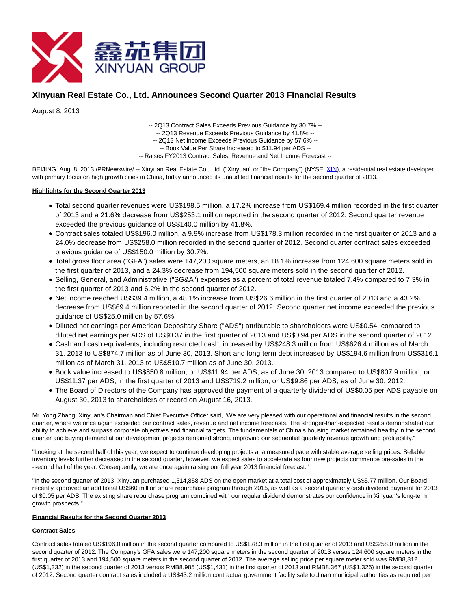

# **Xinyuan Real Estate Co., Ltd. Announces Second Quarter 2013 Financial Results**

August 8, 2013

-- 2Q13 Contract Sales Exceeds Previous Guidance by 30.7% --

-- 2Q13 Revenue Exceeds Previous Guidance by 41.8% --

-- 2Q13 Net Income Exceeds Previous Guidance by 57.6% --

-- Book Value Per Share Increased to \$11.94 per ADS --

-- Raises FY2013 Contract Sales, Revenue and Net Income Forecast --

BEIJING, Aug. 8, 2013 /PRNewswire/ -- Xinyuan Real Estate Co., Ltd. ("Xinyuan" or "the Company") (NYSE: [XIN\),](file:///C:/Windows/Temp/ABCpdf/433555c1-1280-4944-a76f-9ef62abe72ef.html#financial-modal) a residential real estate developer with primary focus on high growth cities in China, today announced its unaudited financial results for the second quarter of 2013.

# **Highlights for the Second Quarter 2013**

- Total second quarter revenues were US\$198.5 million, a 17.2% increase from US\$169.4 million recorded in the first quarter of 2013 and a 21.6% decrease from US\$253.1 million reported in the second quarter of 2012. Second quarter revenue exceeded the previous guidance of US\$140.0 million by 41.8%.
- Contract sales totaled US\$196.0 million, a 9.9% increase from US\$178.3 million recorded in the first quarter of 2013 and a 24.0% decrease from US\$258.0 million recorded in the second quarter of 2012. Second quarter contract sales exceeded previous guidance of US\$150.0 million by 30.7%.
- Total gross floor area ("GFA") sales were 147,200 square meters, an 18.1% increase from 124,600 square meters sold in the first quarter of 2013, and a 24.3% decrease from 194,500 square meters sold in the second quarter of 2012.
- Selling, General, and Administrative ("SG&A") expenses as a percent of total revenue totaled 7.4% compared to 7.3% in the first quarter of 2013 and 6.2% in the second quarter of 2012.
- Net income reached US\$39.4 million, a 48.1% increase from US\$26.6 million in the first quarter of 2013 and a 43.2% decrease from US\$69.4 million reported in the second quarter of 2012. Second quarter net income exceeded the previous guidance of US\$25.0 million by 57.6%.
- Diluted net earnings per American Depositary Share ("ADS") attributable to shareholders were US\$0.54, compared to diluted net earnings per ADS of US\$0.37 in the first quarter of 2013 and US\$0.94 per ADS in the second quarter of 2012.
- Cash and cash equivalents, including restricted cash, increased by US\$248.3 million from US\$626.4 million as of March 31, 2013 to US\$874.7 million as of June 30, 2013. Short and long term debt increased by US\$194.6 million from US\$316.1 million as of March 31, 2013 to US\$510.7 million as of June 30, 2013.
- Book value increased to US\$850.8 million, or US\$11.94 per ADS, as of June 30, 2013 compared to US\$807.9 million, or US\$11.37 per ADS, in the first quarter of 2013 and US\$719.2 million, or US\$9.86 per ADS, as of June 30, 2012.
- The Board of Directors of the Company has approved the payment of a quarterly dividend of US\$0.05 per ADS payable on August 30, 2013 to shareholders of record on August 16, 2013.

Mr. Yong Zhang, Xinyuan's Chairman and Chief Executive Officer said, "We are very pleased with our operational and financial results in the second quarter, where we once again exceeded our contract sales, revenue and net income forecasts. The stronger-than-expected results demonstrated our ability to achieve and surpass corporate objectives and financial targets. The fundamentals of China's housing market remained healthy in the second quarter and buying demand at our development projects remained strong, improving our sequential quarterly revenue growth and profitability."

"Looking at the second half of this year, we expect to continue developing projects at a measured pace with stable average selling prices. Sellable inventory levels further decreased in the second quarter, however, we expect sales to accelerate as four new projects commence pre-sales in the -second half of the year. Consequently, we are once again raising our full year 2013 financial forecast."

"In the second quarter of 2013, Xinyuan purchased 1,314,858 ADS on the open market at a total cost of approximately US\$5.77 million. Our Board recently approved an additional US\$60 million share repurchase program through 2015, as well as a second quarterly cash dividend payment for 2013 of \$0.05 per ADS. The existing share repurchase program combined with our regular dividend demonstrates our confidence in Xinyuan's long-term growth prospects."

# **Financial Results for the Second Quarter 2013**

# **Contract Sales**

Contract sales totaled US\$196.0 million in the second quarter compared to US\$178.3 million in the first quarter of 2013 and US\$258.0 million in the second quarter of 2012. The Company's GFA sales were 147,200 square meters in the second quarter of 2013 versus 124,600 square meters in the first quarter of 2013 and 194,500 square meters in the second quarter of 2012. The average selling price per square meter sold was RMB8,312 (US\$1,332) in the second quarter of 2013 versus RMB8,985 (US\$1,431) in the first quarter of 2013 and RMB8,367 (US\$1,326) in the second quarter of 2012. Second quarter contract sales included a US\$43.2 million contractual government facility sale to Jinan municipal authorities as required per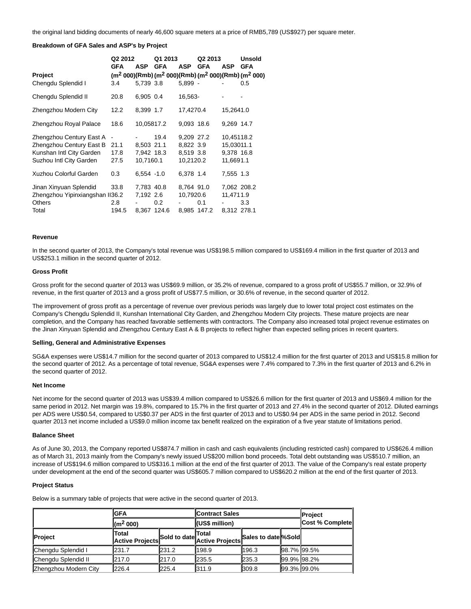the original land bidding documents of nearly 46,600 square meters at a price of RMB5,789 (US\$927) per square meter.

# **Breakdown of GFA Sales and ASP's by Project**

|                                 | Q2 2012        |               | Q1 2013          |             | Q2 2013    |             | <b>Unsold</b>                                     |
|---------------------------------|----------------|---------------|------------------|-------------|------------|-------------|---------------------------------------------------|
|                                 | <b>GFA</b>     | ASP           | <b>GFA</b>       | ASP         | <b>GFA</b> | <b>ASP</b>  | <b>GFA</b>                                        |
| Project                         |                |               |                  |             |            |             | $(m2 000)(Rmb)(m2 000)(Rmb)(m2 000)(Rmb)(m2 000)$ |
| Chengdu Splendid I              | 3.4            | 5,739 3.8     |                  | $5,899 -$   |            |             | 0.5                                               |
| Chengdu Splendid II             | 20.8           | 6,905 0.4     |                  | 16,563-     |            |             |                                                   |
| Zhengzhou Modern City           | 12.2           | 8,399 1.7     |                  | 17,4270.4   |            | 15,2641.0   |                                                   |
| Zhengzhou Royal Palace          | 18.6           | 10,05817.2    |                  | 9,093 18.6  |            | 9,269 14.7  |                                                   |
| Zhengzhou Century East A        | $\blacksquare$ |               | 19.4             | 9,209 27.2  |            | 10,45118.2  |                                                   |
| Zhengzhou Century East B        | 21.1           | 8,503 21.1    |                  | 8,822 3.9   |            | 15,03011.1  |                                                   |
| Kunshan Intl City Garden        | 17.8           | 7,942 18.3    |                  | 8,519 3.8   |            | 9,378 16.8  |                                                   |
| Suzhou Intl City Garden         | 27.5           | 10,7160.1     |                  | 10,2120.2   |            | 11,6691.1   |                                                   |
| Xuzhou Colorful Garden          | 0.3            | $6,554 - 1.0$ |                  | 6,378 1.4   |            | 7,555 1.3   |                                                   |
| Jinan Xinyuan Splendid          | 33.8           | 7,783 40.8    |                  | 8,764 91.0  |            | 7,062 208.2 |                                                   |
| Zhengzhou Yipinxiangshan II36.2 |                | 7,192 2.6     |                  | 10,7920.6   |            | 11,4711.9   |                                                   |
| <b>Others</b>                   | 2.8            |               | 0.2 <sub>0</sub> |             | 0.1        |             | 3.3                                               |
| Total                           | 194.5          | 8,367 124.6   |                  | 8,985 147.2 |            | 8,312 278.1 |                                                   |

#### **Revenue**

In the second quarter of 2013, the Company's total revenue was US\$198.5 million compared to US\$169.4 million in the first quarter of 2013 and US\$253.1 million in the second quarter of 2012.

#### **Gross Profit**

Gross profit for the second quarter of 2013 was US\$69.9 million, or 35.2% of revenue, compared to a gross profit of US\$55.7 million, or 32.9% of revenue, in the first quarter of 2013 and a gross profit of US\$77.5 million, or 30.6% of revenue, in the second quarter of 2012.

The improvement of gross profit as a percentage of revenue over previous periods was largely due to lower total project cost estimates on the Company's Chengdu Splendid II, Kunshan International City Garden, and Zhengzhou Modern City projects. These mature projects are near completion, and the Company has reached favorable settlements with contractors. The Company also increased total project revenue estimates on the Jinan Xinyuan Splendid and Zhengzhou Century East A & B projects to reflect higher than expected selling prices in recent quarters.

#### **Selling, General and Administrative Expenses**

SG&A expenses were US\$14.7 million for the second quarter of 2013 compared to US\$12.4 million for the first quarter of 2013 and US\$15.8 million for the second quarter of 2012. As a percentage of total revenue, SG&A expenses were 7.4% compared to 7.3% in the first quarter of 2013 and 6.2% in the second quarter of 2012.

#### **Net Income**

Net income for the second quarter of 2013 was US\$39.4 million compared to US\$26.6 million for the first quarter of 2013 and US\$69.4 million for the same period in 2012. Net margin was 19.8%, compared to 15.7% in the first quarter of 2013 and 27.4% in the second quarter of 2012. Diluted earnings per ADS were US\$0.54, compared to US\$0.37 per ADS in the first quarter of 2013 and to US\$0.94 per ADS in the same period in 2012. Second quarter 2013 net income included a US\$9.0 million income tax benefit realized on the expiration of a five year statute of limitations period.

# **Balance Sheet**

As of June 30, 2013, the Company reported US\$874.7 million in cash and cash equivalents (including restricted cash) compared to US\$626.4 million as of March 31, 2013 mainly from the Company's newly issued US\$200 million bond proceeds. Total debt outstanding was US\$510.7 million, an increase of US\$194.6 million compared to US\$316.1 million at the end of the first quarter of 2013. The value of the Company's real estate property under development at the end of the second quarter was US\$605.7 million compared to US\$620.2 million at the end of the first quarter of 2013.

#### **Project Status**

Below is a summary table of projects that were active in the second quarter of 2013.

|                       | IGFA                                                                                  |       | <b>IContract Sales</b> | <b>IProject</b>     |             |                        |  |
|-----------------------|---------------------------------------------------------------------------------------|-------|------------------------|---------------------|-------------|------------------------|--|
|                       | (m <sup>2</sup> 000)                                                                  |       | (US\$ million)         |                     |             | <b>Cost % Complete</b> |  |
| Project               | Total Total Sold to date Total (1996)<br>Active Projects Sold to date Active Projects |       |                        | Sales to date %Sold |             |                        |  |
| Chengdu Splendid I    | 231.7                                                                                 | 231.2 | 198.9                  | 196.3               |             | 98.7% 99.5%            |  |
| Chengdu Splendid II   | 217.0                                                                                 | 217.0 | 235.5                  | 235.3               |             | 99.9% 98.2%            |  |
| Zhengzhou Modern City | 226.4                                                                                 | 225.4 | 311.9                  | 309.8               | 99.3% 99.0% |                        |  |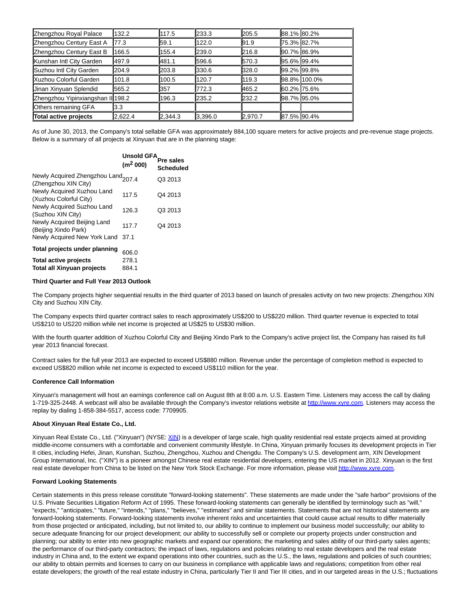| Zhengzhou Royal Palace            | 132.2   | 117.5   | 233.3   | 205.5   | 88.1% 80.2%  |
|-----------------------------------|---------|---------|---------|---------|--------------|
| Zhengzhou Century East A          | 77.3    | 59.1    | 122.0   | 91.9    | 75.3% 82.7%  |
| Zhengzhou Century East B          | 166.5   | 155.4   | 239.0   | 216.8   | 90.7% 86.9%  |
| Kunshan Intl City Garden          | 497.9   | 481.1   | 596.6   | 570.3   | 95.6% 99.4%  |
| Suzhou Intl City Garden           | 204.9   | 203.8   | 330.6   | 328.0   | 99.2% 99.8%  |
| <b>Xuzhou Colorful Garden</b>     | 101.8   | 100.5   | 120.7   | 119.3   | 98.8% 100.0% |
| Jinan Xinyuan Splendid            | 565.2   | 357     | 772.3   | 465.2   | 60.2% 75.6%  |
| Zhengzhou Yipinxiangshan II 198.2 |         | 196.3   | 235.2   | 232.2   | 98.7% 95.0%  |
| Others remaining GFA              | 3.3     |         |         |         |              |
| <b>Total active projects</b>      | 2.622.4 | 2,344.3 | 3,396.0 | 2,970.7 | 87.5% 90.4%  |

As of June 30, 2013, the Company's total sellable GFA was approximately 884,100 square meters for active projects and pre-revenue stage projects. Below is a summary of all projects at Xinyuan that are in the planning stage:

|                                                                        | <b>Unsold GFA</b><br>(m <sup>2</sup> 000) | Pre sales<br><b>Scheduled</b> |
|------------------------------------------------------------------------|-------------------------------------------|-------------------------------|
| Newly Acquired Zhengzhou Land <sub>207.4</sub><br>(Zhengzhou XIN City) |                                           | Q3 2013                       |
| Newly Acquired Xuzhou Land<br>(Xuzhou Colorful City)                   | 117.5                                     | Q4 2013                       |
| Newly Acquired Suzhou Land<br>(Suzhou XIN City)                        | 126.3                                     | Q3 2013                       |
| Newly Acquired Beijing Land<br>(Beijing Xindo Park)                    | 117.7                                     | Q4 2013                       |
| Newly Acquired New York Land                                           | 37.1                                      |                               |
| Total projects under planning                                          | 606.0                                     |                               |
| Total active projects                                                  | 278.1                                     |                               |
| <b>Total all Xinyuan projects</b>                                      | 884.1                                     |                               |
|                                                                        |                                           |                               |

## **Third Quarter and Full Year 2013 Outlook**

The Company projects higher sequential results in the third quarter of 2013 based on launch of presales activity on two new projects: Zhengzhou XIN City and Suzhou XIN City.

The Company expects third quarter contract sales to reach approximately US\$200 to US\$220 million. Third quarter revenue is expected to total US\$210 to US220 million while net income is projected at US\$25 to US\$30 million.

With the fourth quarter addition of Xuzhou Colorful City and Beijing Xindo Park to the Company's active project list, the Company has raised its full year 2013 financial forecast.

Contract sales for the full year 2013 are expected to exceed US\$880 million. Revenue under the percentage of completion method is expected to exceed US\$820 million while net income is expected to exceed US\$110 million for the year.

#### **Conference Call Information**

Xinyuan's management will host an earnings conference call on August 8th at 8:00 a.m. U.S. Eastern Time. Listeners may access the call by dialing 1-719-325-2448. A webcast will also be available through the Company's investor relations website a[t http://www.xyre.com.](http://us.lrd.yahoo.com/_ylt=Ap80_xO_7lLR2uOeK6cLmv2uMncA/SIG=10ponduvq/**http%3A/www.xyre.com/) Listeners may access the replay by dialing 1-858-384-5517, access code: 7709905.

#### **About Xinyuan Real Estate Co., Ltd.**

Xinyuan Real Estate Co., Ltd. ("Xinyuan") (NYSE: [XIN\)](file:///C:/Windows/Temp/ABCpdf/433555c1-1280-4944-a76f-9ef62abe72ef.html#financial-modal) is a developer of large scale, high quality residential real estate projects aimed at providing middle-income consumers with a comfortable and convenient community lifestyle. In China, Xinyuan primarily focuses its development projects in Tier II cities, including Hefei, Jinan, Kunshan, Suzhou, Zhengzhou, Xuzhou and Chengdu. The Company's U.S. development arm, XIN Development Group International, Inc. ("XIN") is a pioneer amongst Chinese real estate residential developers, entering the US market in 2012. Xinyuan is the first real estate developer from China to be listed on the New York Stock Exchange. For more information, please visi[t http://www.xyre.com.](http://www.xyre.com/)

## **Forward Looking Statements**

Certain statements in this press release constitute "forward-looking statements". These statements are made under the "safe harbor" provisions of the U.S. Private Securities Litigation Reform Act of 1995. These forward-looking statements can generally be identified by terminology such as "will," "expects," "anticipates," "future," "intends," "plans," "believes," "estimates" and similar statements. Statements that are not historical statements are forward-looking statements. Forward-looking statements involve inherent risks and uncertainties that could cause actual results to differ materially from those projected or anticipated, including, but not limited to, our ability to continue to implement our business model successfully; our ability to secure adequate financing for our project development; our ability to successfully sell or complete our property projects under construction and planning; our ability to enter into new geographic markets and expand our operations; the marketing and sales ability of our third-party sales agents; the performance of our third-party contractors; the impact of laws, regulations and policies relating to real estate developers and the real estate industry in China and, to the extent we expand operations into other countries, such as the U.S., the laws, regulations and policies of such countries; our ability to obtain permits and licenses to carry on our business in compliance with applicable laws and regulations; competition from other real estate developers; the growth of the real estate industry in China, particularly Tier II and Tier III cities, and in our targeted areas in the U.S.; fluctuations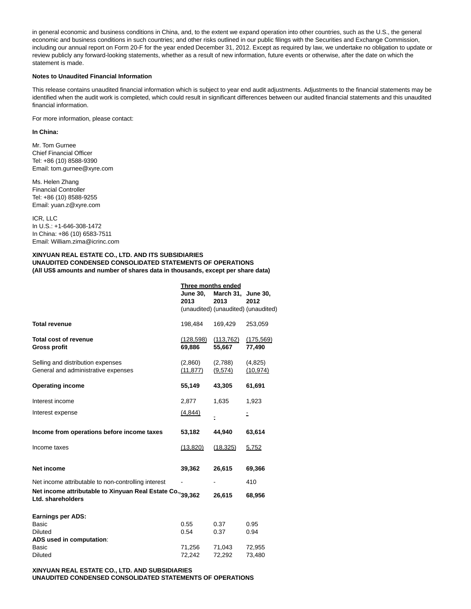in general economic and business conditions in China, and, to the extent we expand operation into other countries, such as the U.S., the general economic and business conditions in such countries; and other risks outlined in our public filings with the Securities and Exchange Commission, including our annual report on Form 20-F for the year ended December 31, 2012. Except as required by law, we undertake no obligation to update or review publicly any forward-looking statements, whether as a result of new information, future events or otherwise, after the date on which the statement is made.

# **Notes to Unaudited Financial Information**

This release contains unaudited financial information which is subject to year end audit adjustments. Adjustments to the financial statements may be identified when the audit work is completed, which could result in significant differences between our audited financial statements and this unaudited financial information.

For more information, please contact:

## **In China:**

Mr. Tom Gurnee Chief Financial Officer Tel: +86 (10) 8588-9390 Email: tom.gurnee@xyre.com

Ms. Helen Zhang Financial Controller Tel: +86 (10) 8588-9255 Email: yuan.z@xyre.com

ICR, LLC In U.S.: +1-646-308-1472 In China: +86 (10) 6583-7511 Email: William.zima@icrinc.com

# **XINYUAN REAL ESTATE CO., LTD. AND ITS SUBSIDIARIES UNAUDITED CONDENSED CONSOLIDATED STATEMENTS OF OPERATIONS (All US\$ amounts and number of shares data in thousands, except per share data)**

|                                                                                            | <b>Three months ended</b> |                            |                                             |  |
|--------------------------------------------------------------------------------------------|---------------------------|----------------------------|---------------------------------------------|--|
|                                                                                            | <b>June 30,</b><br>2013   | March 31, June 30,<br>2013 | 2012<br>(unaudited) (unaudited) (unaudited) |  |
|                                                                                            |                           |                            |                                             |  |
| <b>Total revenue</b>                                                                       | 198,484                   | 169,429                    | 253,059                                     |  |
| <b>Total cost of revenue</b><br><b>Gross profit</b>                                        | (128, 598)<br>69,886      | (113, 762)<br>55,667       | (175, 569)<br>77,490                        |  |
| Selling and distribution expenses<br>General and administrative expenses                   | (2,860)<br>(11, 877)      | (2,788)<br>(9,574)         | (4,825)<br>(10, 974)                        |  |
| <b>Operating income</b>                                                                    | 55,149                    | 43,305                     | 61,691                                      |  |
| Interest income                                                                            | 2,877                     | 1,635                      | 1,923                                       |  |
| Interest expense                                                                           | (4,844)                   |                            | Ξ                                           |  |
| Income from operations before income taxes                                                 | 53,182                    | 44,940                     | 63,614                                      |  |
| Income taxes                                                                               | (13, 820)                 | (18, 325)                  | 5,752                                       |  |
| <b>Net income</b>                                                                          | 39,362                    | 26,615                     | 69,366                                      |  |
| Net income attributable to non-controlling interest                                        |                           |                            | 410                                         |  |
| Net income attributable to Xinyuan Real Estate Co. <sub>139,362</sub><br>Ltd. shareholders |                           | 26,615                     | 68,956                                      |  |
| <b>Earnings per ADS:</b>                                                                   |                           |                            |                                             |  |
| Basic                                                                                      | 0.55                      | 0.37                       | 0.95                                        |  |
| <b>Diluted</b>                                                                             | 0.54                      | 0.37                       | 0.94                                        |  |
| ADS used in computation:                                                                   |                           |                            |                                             |  |
| Basic                                                                                      | 71,256                    | 71,043                     | 72,955                                      |  |
| <b>Diluted</b>                                                                             | 72,242                    | 72,292                     | 73,480                                      |  |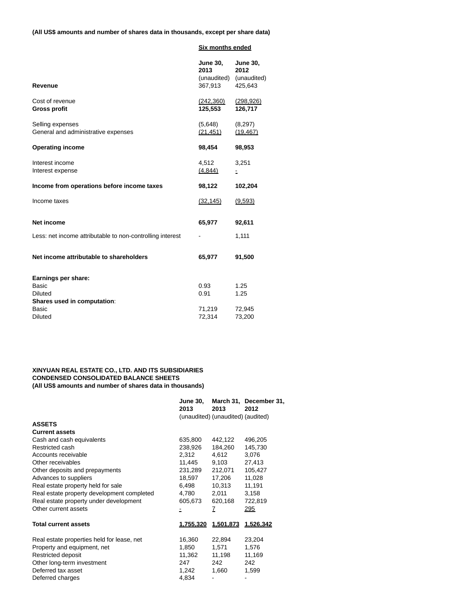**(All US\$ amounts and number of shares data in thousands, except per share data)**

# **Six months ended**

|                                                               | <b>June 30,</b><br>2013<br>(unaudited) | <b>June 30,</b><br>2012<br>(unaudited) |
|---------------------------------------------------------------|----------------------------------------|----------------------------------------|
| Revenue                                                       | 367,913                                | 425,643                                |
| Cost of revenue<br><b>Gross profit</b>                        | (242, 360)<br>125,553                  | (298, 926)<br>126,717                  |
| Selling expenses<br>General and administrative expenses       | (5,648)<br>(21, 451)                   | (8, 297)<br>(19, 467)                  |
| <b>Operating income</b>                                       | 98,454                                 | 98,953                                 |
| Interest income<br>Interest expense                           | 4,512<br>(4,844)                       | 3,251<br>Ξ                             |
| Income from operations before income taxes                    | 98,122                                 | 102,204                                |
| Income taxes                                                  | (32, 145)                              | (9,593)                                |
| Net income                                                    | 65,977                                 | 92,611                                 |
| Less: net income attributable to non-controlling interest     | $\overline{\phantom{0}}$               | 1,111                                  |
| Net income attributable to shareholders                       | 65,977                                 | 91,500                                 |
| Earnings per share:                                           |                                        |                                        |
| <b>Basic</b><br><b>Diluted</b><br>Shares used in computation: | 0.93<br>0.91                           | 1.25<br>1.25                           |
| Basic<br><b>Diluted</b>                                       | 71,219<br>72,314                       | 72,945<br>73,200                       |

# **XINYUAN REAL ESTATE CO., LTD. AND ITS SUBSIDIARIES CONDENSED CONSOLIDATED BALANCE SHEETS (All US\$ amounts and number of shares data in thousands)**

|                                            | <b>June 30,</b><br>2013 | 2013<br>(unaudited) (unaudited) (audited) | March 31, December 31,<br>2012 |
|--------------------------------------------|-------------------------|-------------------------------------------|--------------------------------|
| <b>ASSETS</b>                              |                         |                                           |                                |
| <b>Current assets</b>                      |                         |                                           |                                |
| Cash and cash equivalents                  | 635,800                 | 442,122                                   | 496,205                        |
| Restricted cash                            | 238,926                 | 184,260                                   | 145,730                        |
| Accounts receivable                        | 2,312                   | 4,612                                     | 3,076                          |
| Other receivables                          | 11,445                  | 9,103                                     | 27,413                         |
| Other deposits and prepayments             | 231,289                 | 212,071                                   | 105,427                        |
| Advances to suppliers                      | 18,597                  | 17,206                                    | 11,028                         |
| Real estate property held for sale         | 6,498                   | 10,313                                    | 11,191                         |
| Real estate property development completed | 4,780                   | 2,011                                     | 3,158                          |
| Real estate property under development     | 605,673                 | 620,168                                   | 722,819                        |
| Other current assets                       |                         | Z                                         | 295                            |
| <b>Total current assets</b>                | 1,755,320               | <u>1,501,873</u>                          | 1,526,342                      |
| Real estate properties held for lease, net | 16,360                  | 22,894                                    | 23,204                         |
| Property and equipment, net                | 1,850                   | 1,571                                     | 1,576                          |
| Restricted deposit                         | 11,362                  | 11,198                                    | 11,169                         |
| Other long-term investment                 | 247                     | 242                                       | 242                            |
| Deferred tax asset                         | 1,242                   | 1,660                                     | 1,599                          |
| Deferred charges                           | 4,834                   |                                           |                                |